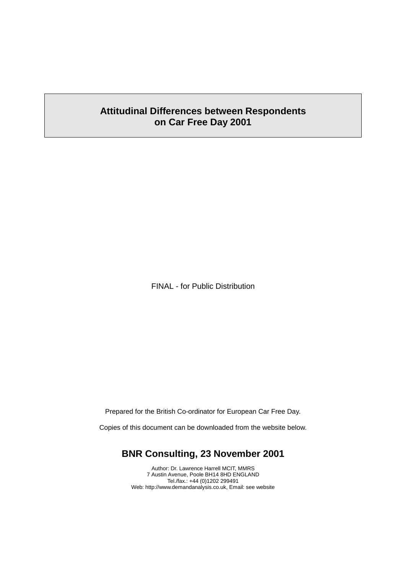## **Attitudinal Differences between Respondents on Car Free Day 2001**

FINAL - for Public Distribution

Prepared for the British Co-ordinator for European Car Free Day.

Copies of this document can be downloaded from the website below.

## **BNR Consulting, 23 November 2001**

Author: Dr. Lawrence Harrell MCIT, MMRS 7 Austin Avenue, Poole BH14 8HD ENGLAND Tel./fax.: +44 (0)1202 299491 Web: http://www.demandanalysis.co.uk, Email: see website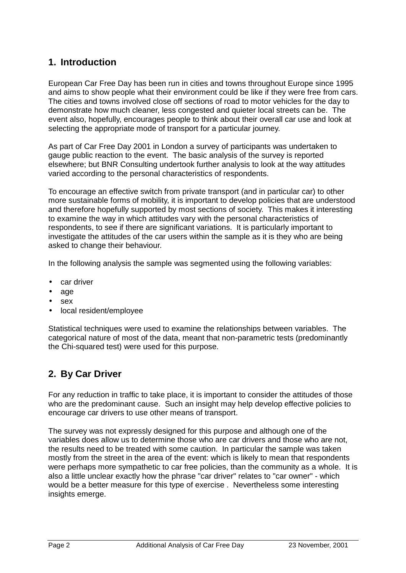# **1. Introduction**

European Car Free Day has been run in cities and towns throughout Europe since 1995 and aims to show people what their environment could be like if they were free from cars. The cities and towns involved close off sections of road to motor vehicles for the day to demonstrate how much cleaner, less congested and quieter local streets can be. The event also, hopefully, encourages people to think about their overall car use and look at selecting the appropriate mode of transport for a particular journey.

As part of Car Free Day 2001 in London a survey of participants was undertaken to gauge public reaction to the event. The basic analysis of the survey is reported elsewhere; but BNR Consulting undertook further analysis to look at the way attitudes varied according to the personal characteristics of respondents.

To encourage an effective switch from private transport (and in particular car) to other more sustainable forms of mobility, it is important to develop policies that are understood and therefore hopefully supported by most sections of society. This makes it interesting to examine the way in which attitudes vary with the personal characteristics of respondents, to see if there are significant variations. It is particularly important to investigate the attitudes of the car users within the sample as it is they who are being asked to change their behaviour.

In the following analysis the sample was segmented using the following variables:

- car driver
- age
- sex
- local resident/employee

Statistical techniques were used to examine the relationships between variables. The categorical nature of most of the data, meant that non-parametric tests (predominantly the Chi-squared test) were used for this purpose.

# **2. By Car Driver**

For any reduction in traffic to take place, it is important to consider the attitudes of those who are the predominant cause. Such an insight may help develop effective policies to encourage car drivers to use other means of transport.

The survey was not expressly designed for this purpose and although one of the variables does allow us to determine those who are car drivers and those who are not, the results need to be treated with some caution. In particular the sample was taken mostly from the street in the area of the event: which is likely to mean that respondents were perhaps more sympathetic to car free policies, than the community as a whole. It is also a little unclear exactly how the phrase "car driver" relates to "car owner" - which would be a better measure for this type of exercise . Nevertheless some interesting insights emerge.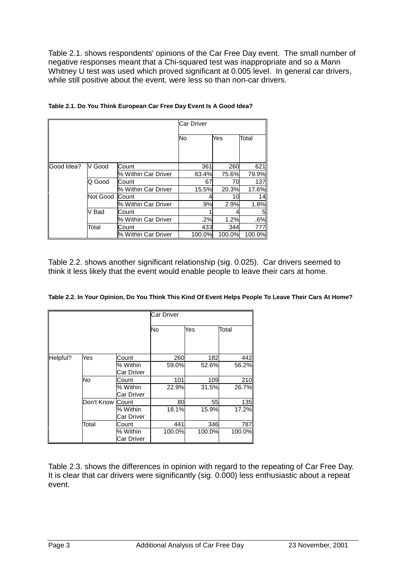Table 2.1. shows respondents' opinions of the Car Free Day event. The small number of negative responses meant that a Chi-squared test was inappropriate and so a Mann Whitney U test was used which proved significant at 0.005 level. In general car drivers, while still positive about the event, were less so than non-car drivers.

|            |          |                     | Car Driver |        |        |
|------------|----------|---------------------|------------|--------|--------|
|            |          |                     | No         | Yes    | Total  |
|            |          |                     |            |        |        |
|            |          |                     |            |        |        |
| Good Idea? | V Good   | Count               | 361        | 260    | 621    |
|            |          | % Within Car Driver | 83.4%      | 75.6%  | 79.9%  |
|            | Q Good   | Count               | 67         | 70     | 137    |
|            |          | % Within Car Driver | 15.5%      | 20.3%  | 17.6%  |
|            | Not Good | Count               |            | 10     | 14     |
|            |          | % Within Car Driver | .9%        | 2.9%   | 1.8%   |
|            | V Bad    | Count               |            |        |        |
|            |          | % Within Car Driver | .2%        | 1.2%   | .6%    |
|            | Total    | Count               | 433        | 344    | 777    |
|            |          | % Within Car Driver | 100.0%     | 100.0% | 100.0% |

Table 2.2. shows another significant relationship (sig. 0.025). Car drivers seemed to think it less likely that the event would enable people to leave their cars at home.

|  | Table 2.2. In Your Opinion, Do You Think This Kind Of Event Helps People To Leave Their Cars At Home? |
|--|-------------------------------------------------------------------------------------------------------|
|--|-------------------------------------------------------------------------------------------------------|

|          |            |                        | Car Driver |        |        |  |  |
|----------|------------|------------------------|------------|--------|--------|--|--|
|          |            |                        | No         | Yes    | Total  |  |  |
| Helpful? | Yes        | Count                  | 260        | 182    | 442    |  |  |
|          |            | % Within<br>Car Driver | 59.0%      | 52.6%  | 56.2%  |  |  |
|          | No         | Count                  | 101        | 109    | 210    |  |  |
|          |            | % Within<br>Car Driver | 22.9%      | 31.5%  | 26.7%  |  |  |
|          | Don't Know | Count                  | 80         | 55     | 135    |  |  |
|          |            | % Within<br>Car Driver | 18.1%      | 15.9%  | 17.2%  |  |  |
|          | Total      | Count                  | 441        | 346    | 787    |  |  |
|          |            | % Within<br>Car Driver | 100.0%     | 100.0% | 100.0% |  |  |

Table 2.3. shows the differences in opinion with regard to the repeating of Car Free Day. It is clear that car drivers were significantly (sig. 0.000) less enthusiastic about a repeat event.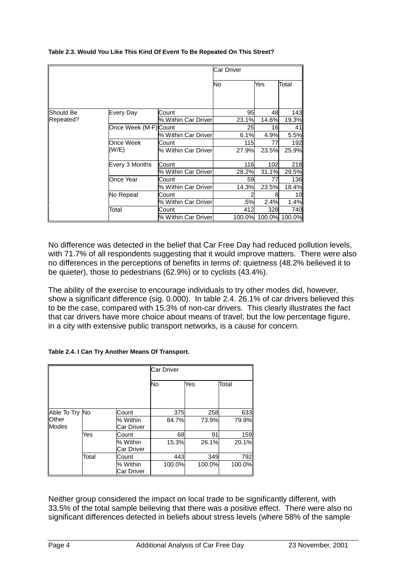|             |                      |                     | Car Driver |       |                      |
|-------------|----------------------|---------------------|------------|-------|----------------------|
|             |                      |                     | No         | Yes   | Total                |
|             |                      |                     |            |       |                      |
| llShould Be | Every Day            | Count               | 95         | 48    | 143                  |
| Repeated?   |                      | % Within Car Driver | 23.1%      | 14.6% | 19.3%                |
|             | Once Week (M-F)Count |                     | 25         | 16    | 41                   |
|             |                      | % Within Car Driver | 6.1%       | 4.9%  | 5.5%                 |
|             | Once Week            | Count               | 115        | 77    | 192                  |
|             | (W/E)                | % Within Car Driver | 27.9%      | 23.5% | 25.9%                |
|             | Every 3 Months       | Count               | 116        | 102   | <b>218</b>           |
|             |                      | % Within Car Driver | 28.2%      | 31.1% | 29.5%                |
|             | Once Year            | Count               | 59         | 77    | <b>136</b>           |
|             |                      | % Within Car Driver | 14.3%      | 23.5% | 18.4%                |
|             | No Repeat            | Count               |            | 8     | 10                   |
|             |                      | % Within Car Driver | .5%        | 2.4%  | 1.4%                 |
|             | Total                | Count               | 412        | 328   | 740                  |
|             |                      | % Within Car Driver |            |       | 100.0% 100.0% 100.0% |

### **Table 2.3. Would You Like This Kind Of Event To Be Repeated On This Street?**

No difference was detected in the belief that Car Free Day had reduced pollution levels, with 71.7% of all respondents suggesting that it would improve matters. There were also no differences in the perceptions of benefits in terms of: quietness (48.2% believed it to be quieter), those to pedestrians (62.9%) or to cyclists (43.4%).

The ability of the exercise to encourage individuals to try other modes did, however, show a significant difference (sig. 0.000). In table 2.4. 26.1% of car drivers believed this to be the case, compared with 15.3% of non-car drivers. This clearly illustrates the fact that car drivers have more choice about means of travel; but the low percentage figure, in a city with extensive public transport networks, is a cause for concern.

|                              |       |                               | <b>Car Driver</b> |        |        |
|------------------------------|-------|-------------------------------|-------------------|--------|--------|
|                              |       |                               | <b>No</b>         | Yes    | Total  |
| Able To Try No               |       | Count                         | 375               | 258    | 633    |
| <b>Other</b><br><b>Modes</b> |       | % Within<br>Car Driver        | 84.7%             | 73.9%  | 79.9%  |
|                              | Yes   | Count                         | 68                | 91     | 159    |
|                              |       | % Within<br><b>Car Driver</b> | 15.3%             | 26.1%  | 20.1%  |
|                              | Total | Count                         | 443               | 349    | 792    |
|                              |       | % Within<br>Car Driver        | 100.0%            | 100.0% | 100.0% |

Neither group considered the impact on local trade to be significantly different, with 33.5% of the total sample believing that there was a positive effect. There were also no significant differences detected in beliefs about stress levels (where 58% of the sample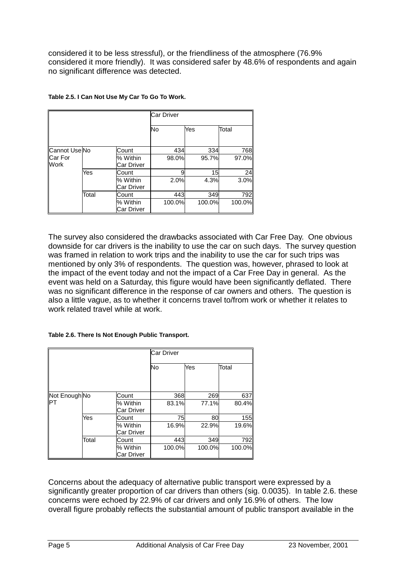considered it to be less stressful), or the friendliness of the atmosphere (76.9% considered it more friendly). It was considered safer by 48.6% of respondents and again no significant difference was detected.

|                          |       |                               | <b>Car Driver</b> |        |        |  |
|--------------------------|-------|-------------------------------|-------------------|--------|--------|--|
|                          |       |                               | <b>No</b>         | Yes    | Total  |  |
| Cannot Use <sub>No</sub> |       | Count                         | 434               | 334    | 768    |  |
| <b>ICar For</b>          |       | % Within                      | 98.0%             | 95.7%  | 97.0%  |  |
| <b>Work</b>              |       | <b>Car Driver</b>             |                   |        |        |  |
|                          | Yes   | Count                         |                   | 15     | 24     |  |
|                          |       | % Within                      | 2.0%              | 4.3%   | 3.0%   |  |
|                          |       | Car Driver                    |                   |        |        |  |
|                          | Total | Count                         | 443               | 349    | 792    |  |
|                          |       | % Within<br><b>Car Driver</b> | 100.0%            | 100.0% | 100.0% |  |

| Table 2.5. I Can Not Use My Car To Go To Work. |  |  |  |  |  |  |
|------------------------------------------------|--|--|--|--|--|--|

The survey also considered the drawbacks associated with Car Free Day. One obvious downside for car drivers is the inability to use the car on such days. The survey question was framed in relation to work trips and the inability to use the car for such trips was mentioned by only 3% of respondents. The question was, however, phrased to look at the impact of the event today and not the impact of a Car Free Day in general. As the event was held on a Saturday, this figure would have been significantly deflated. There was no significant difference in the response of car owners and others. The question is also a little vague, as to whether it concerns travel to/from work or whether it relates to work related travel while at work.

#### **Table 2.6. There Is Not Enough Public Transport.**

|               |       |                        | <b>Car Driver</b> |        |        |
|---------------|-------|------------------------|-------------------|--------|--------|
|               |       |                        | No                | Yes    | Total  |
| Not Enough No |       | Count                  | 368               | 269    | 637    |
| IPT           |       | % Within<br>Car Driver | 83.1%             | 77.1%  | 80.4%  |
|               | Yes   | Count                  | 75                | 80     | 155    |
|               |       | % Within<br>Car Driver | 16.9%             | 22.9%  | 19.6%  |
|               | Total | Count                  | 443               | 349    | 792    |
|               |       | % Within<br>Car Driver | 100.0%            | 100.0% | 100.0% |

Concerns about the adequacy of alternative public transport were expressed by a significantly greater proportion of car drivers than others (sig. 0.0035). In table 2.6. these concerns were echoed by 22.9% of car drivers and only 16.9% of others. The low overall figure probably reflects the substantial amount of public transport available in the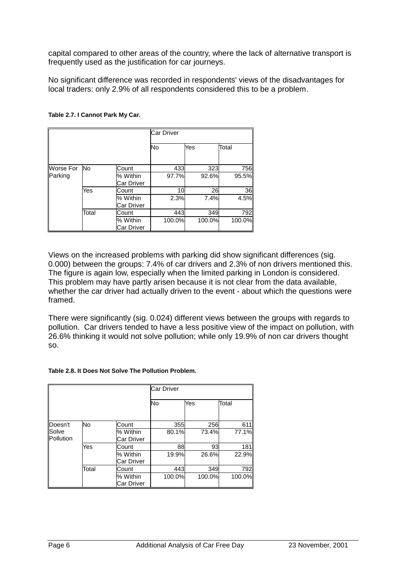capital compared to other areas of the country, where the lack of alternative transport is frequently used as the justification for car journeys.

No significant difference was recorded in respondents' views of the disadvantages for local traders: only 2.9% of all respondents considered this to be a problem.

|                  |           |                        | Car Driver |        |        |
|------------------|-----------|------------------------|------------|--------|--------|
|                  |           |                        | No         | Yes    | Total  |
| <b>Worse For</b> | <b>No</b> | Count                  | 433        | 323    | 756    |
| Parking          |           | % Within<br>Car Driver | 97.7%      | 92.6%  | 95.5%  |
|                  | Yes       | Count                  | 10         | 26     | 36     |
|                  |           | % Within<br>Car Driver | 2.3%       | 7.4%   | 4.5%   |
|                  | Total     | Count                  | 443        | 349    | 792    |
|                  |           | % Within<br>Car Driver | 100.0%     | 100.0% | 100.0% |

### **Table 2.7. I Cannot Park My Car.**

Views on the increased problems with parking did show significant differences (sig. 0.000) between the groups: 7.4% of car drivers and 2.3% of non drivers mentioned this. The figure is again low, especially when the limited parking in London is considered. This problem may have partly arisen because it is not clear from the data available, whether the car driver had actually driven to the event - about which the questions were framed.

There were significantly (sig. 0.024) different views between the groups with regards to pollution. Car drivers tended to have a less positive view of the impact on pollution, with 26.6% thinking it would not solve pollution; while only 19.9% of non car drivers thought so.

#### **Table 2.8. It Does Not Solve The Pollution Problem.**

|                    |       |                               | <b>Car Driver</b> |        |        |
|--------------------|-------|-------------------------------|-------------------|--------|--------|
|                    |       |                               | No                | Yes    | Total  |
| Doesn't            | No    | Count                         | 355               | 256    | 611    |
| Solve<br>Pollution |       | % Within<br>Car Driver        | 80.1%             | 73.4%  | 77.1%  |
|                    | Yes   | Count                         | 88                | 93     | 181    |
|                    |       | % Within<br><b>Car Driver</b> | 19.9%             | 26.6%  | 22.9%  |
|                    | Total | Count                         | 443               | 349    | 792    |
|                    |       | % Within<br>Car Driver        | 100.0%            | 100.0% | 100.0% |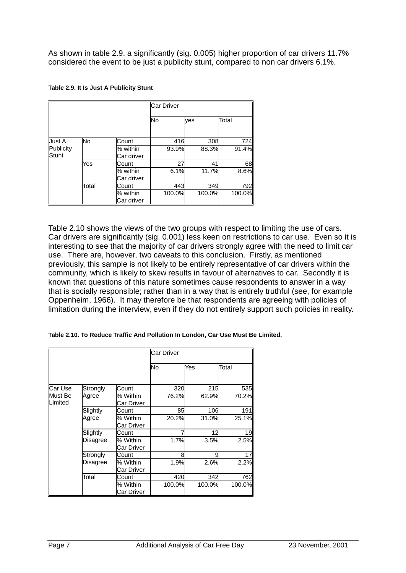As shown in table 2.9. a significantly (sig. 0.005) higher proportion of car drivers 11.7% considered the event to be just a publicity stunt, compared to non car drivers 6.1%.

|                           |       |                        | <b>Car Driver</b> |        |        |
|---------------------------|-------|------------------------|-------------------|--------|--------|
|                           |       |                        | No                | ves    | Total  |
| Just A                    | No    | Count                  | 416               | 308    | 724    |
| Publicity<br><b>Stunt</b> |       | % within<br>Car driver | 93.9%             | 88.3%  | 91.4%  |
|                           | Yes   | Count                  | 27                | 41     | 68     |
|                           |       | % within<br>Car driver | 6.1%              | 11.7%  | 8.6%   |
|                           | Total | Count                  | 443               | 349    | 792    |
|                           |       | % within<br>Car driver | 100.0%            | 100.0% | 100.0% |

Table 2.10 shows the views of the two groups with respect to limiting the use of cars. Car drivers are significantly (sig. 0.001) less keen on restrictions to car use. Even so it is interesting to see that the majority of car drivers strongly agree with the need to limit car use. There are, however, two caveats to this conclusion. Firstly, as mentioned previously, this sample is not likely to be entirely representative of car drivers within the community, which is likely to skew results in favour of alternatives to car. Secondly it is known that questions of this nature sometimes cause respondents to answer in a way that is socially responsible; rather than in a way that is entirely truthful (see, for example Oppenheim, 1966). It may therefore be that respondents are agreeing with policies of limitation during the interview, even if they do not entirely support such policies in reality.

| Table 2.10. To Reduce Traffic And Pollution In London, Car Use Must Be Limited. |  |  |  |  |
|---------------------------------------------------------------------------------|--|--|--|--|

|                                   |          |                        | Car Driver |        |        |
|-----------------------------------|----------|------------------------|------------|--------|--------|
|                                   |          |                        | No         | Yes    | Total  |
| Car Use                           | Strongly | Count                  | 320        | 215    | 535    |
| <b>IMust Be</b><br><b>Limited</b> | Agree    | % Within<br>Car Driver | 76.2%      | 62.9%  | 70.2%  |
|                                   | Slightly | Count                  | 85         | 106    | 191    |
|                                   | Agree    | % Within<br>Car Driver | 20.2%      | 31.0%  | 25.1%  |
|                                   | Slightly | Count                  |            | 12     | 19     |
|                                   | Disagree | % Within<br>Car Driver | 1.7%       | 3.5%   | 2.5%   |
|                                   | Strongly | Count                  | 8          | 9      | 17     |
|                                   | Disagree | % Within<br>Car Driver | 1.9%       | 2.6%   | 2.2%   |
|                                   | Total    | Count                  | 420        | 342    | 762    |
|                                   |          | % Within<br>Car Driver | 100.0%     | 100.0% | 100.0% |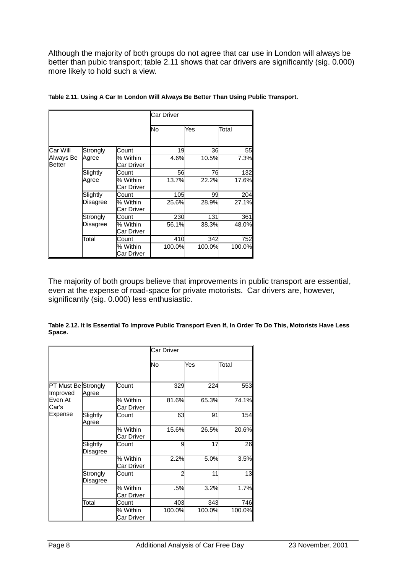Although the majority of both groups do not agree that car use in London will always be better than pubic transport; table 2.11 shows that car drivers are significantly (sig. 0.000) more likely to hold such a view.

|                            |          |                        | <b>Car Driver</b> |        |        |
|----------------------------|----------|------------------------|-------------------|--------|--------|
|                            |          |                        | No                | Yes    | Total  |
| Car Will                   | Strongly | Count                  | 19                | 36     | 55     |
| Always Be<br><b>Better</b> | Agree    | % Within<br>Car Driver | 4.6%              | 10.5%  | 7.3%   |
|                            | Slightly | Count                  | 56                | 76     | 132    |
|                            | Agree    | % Within<br>Car Driver | 13.7%             | 22.2%  | 17.6%  |
|                            | Slightly | Count                  | 105               | 99     | 204    |
|                            | Disagree | % Within<br>Car Driver | 25.6%             | 28.9%  | 27.1%  |
|                            | Strongly | Count                  | 230               | 131    | 361    |
|                            | Disagree | % Within<br>Car Driver | 56.1%             | 38.3%  | 48.0%  |
|                            | Total    | Count                  | 410               | 342    | 752    |
|                            |          | % Within<br>Car Driver | 100.0%            | 100.0% | 100.0% |

|  | Table 2.11. Using A Car In London Will Always Be Better Than Using Public Transport. |  |
|--|--------------------------------------------------------------------------------------|--|
|  |                                                                                      |  |

The majority of both groups believe that improvements in public transport are essential, even at the expense of road-space for private motorists. Car drivers are, however, significantly (sig. 0.000) less enthusiastic.

**Table 2.12. It Is Essential To Improve Public Transport Even If, In Order To Do This, Motorists Have Less Space.**

|                                 |                      |                        | Car Driver     |        |        |
|---------------------------------|----------------------|------------------------|----------------|--------|--------|
|                                 |                      |                        | No             | Yes    | Total  |
| PT Must Be Strongly<br>Improved | Agree                | Count                  | 329            | 224    | 553    |
| Even At<br>Car's                |                      | % Within<br>Car Driver | 81.6%          | 65.3%  | 74.1%  |
| Expense                         | Slightly<br>Agree    | Count                  | 63             | 91     | 154    |
|                                 |                      | % Within<br>Car Driver | 15.6%          | 26.5%  | 20.6%  |
|                                 | Slightly<br>Disagree | Count                  | 9              | 17     | 26     |
|                                 |                      | % Within<br>Car Driver | 2.2%           | 5.0%   | 3.5%   |
|                                 | Strongly<br>Disagree | Count                  | $\overline{2}$ | 11     | 13     |
|                                 |                      | % Within<br>Car Driver | .5%            | 3.2%   | 1.7%   |
|                                 | Total                | Count                  | 403            | 343    | 746    |
|                                 |                      | % Within<br>Car Driver | 100.0%         | 100.0% | 100.0% |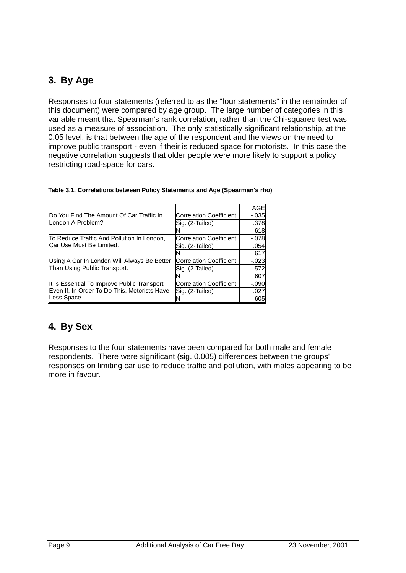# **3. By Age**

Responses to four statements (referred to as the "four statements" in the remainder of this document) were compared by age group. The large number of categories in this variable meant that Spearman's rank correlation, rather than the Chi-squared test was used as a measure of association. The only statistically significant relationship, at the 0.05 level, is that between the age of the respondent and the views on the need to improve public transport - even if their is reduced space for motorists. In this case the negative correlation suggests that older people were more likely to support a policy restricting road-space for cars.

|                                              |                                | AGE      |
|----------------------------------------------|--------------------------------|----------|
| Do You Find The Amount Of Car Traffic In     | <b>Correlation Coefficient</b> | $-0.035$ |
| London A Problem?                            | Sig. (2-Tailed)                | .378     |
|                                              |                                | 618      |
| To Reduce Traffic And Pollution In London,   | <b>Correlation Coefficient</b> | $-078$   |
| Car Use Must Be Limited.                     | Sig. (2-Tailed)                | .054     |
|                                              |                                | 617      |
| Using A Car In London Will Always Be Better  | Correlation Coefficient        | $-.023$  |
| Than Using Public Transport.                 | Sig. (2-Tailed)                | .572     |
|                                              |                                | 607      |
| It Is Essential To Improve Public Transport  | <b>Correlation Coefficient</b> | $-.090$  |
| Even If, In Order To Do This, Motorists Have | Sig. (2-Tailed)                | .027     |
| Less Space.                                  |                                | 605      |

# **4. By Sex**

Responses to the four statements have been compared for both male and female respondents. There were significant (sig. 0.005) differences between the groups' responses on limiting car use to reduce traffic and pollution, with males appearing to be more in favour.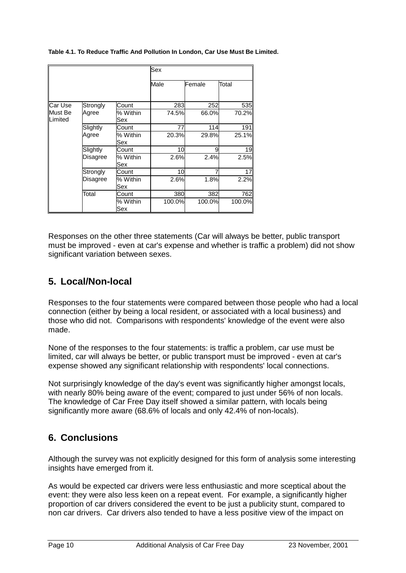**Table 4.1. To Reduce Traffic And Pollution In London, Car Use Must Be Limited.**

|                    |                 |                 | Sex    |        |        |
|--------------------|-----------------|-----------------|--------|--------|--------|
|                    |                 |                 | Male   | Female | Total  |
| Car Use            | Strongly        | Count           | 283    | 252    | 535    |
| Must Be<br>Limited | Agree           | % Within<br>Sex | 74.5%  | 66.0%  | 70.2%  |
|                    | Slightly        | Count           | 77     | 114    | 191    |
|                    | Agree           | % Within<br>Sex | 20.3%  | 29.8%  | 25.1%  |
|                    | Slightly        | Count           | 10     | 9      | 19     |
|                    | Disagree        | % Within<br>Sex | 2.6%   | 2.4%   | 2.5%   |
|                    | Strongly        | Count           | 10     |        | 17     |
|                    | <b>Disagree</b> | % Within<br>Sex | 2.6%   | 1.8%   | 2.2%   |
|                    | Total           | Count           | 380    | 382    | 762    |
|                    |                 | % Within<br>Sex | 100.0% | 100.0% | 100.0% |

Responses on the other three statements (Car will always be better, public transport must be improved - even at car's expense and whether is traffic a problem) did not show significant variation between sexes.

# **5. Local/Non-local**

Responses to the four statements were compared between those people who had a local connection (either by being a local resident, or associated with a local business) and those who did not. Comparisons with respondents' knowledge of the event were also made.

None of the responses to the four statements: is traffic a problem, car use must be limited, car will always be better, or public transport must be improved - even at car's expense showed any significant relationship with respondents' local connections.

Not surprisingly knowledge of the day's event was significantly higher amongst locals, with nearly 80% being aware of the event; compared to just under 56% of non locals. The knowledge of Car Free Day itself showed a similar pattern, with locals being significantly more aware (68.6% of locals and only 42.4% of non-locals).

## **6. Conclusions**

Although the survey was not explicitly designed for this form of analysis some interesting insights have emerged from it.

As would be expected car drivers were less enthusiastic and more sceptical about the event: they were also less keen on a repeat event. For example, a significantly higher proportion of car drivers considered the event to be just a publicity stunt, compared to non car drivers. Car drivers also tended to have a less positive view of the impact on